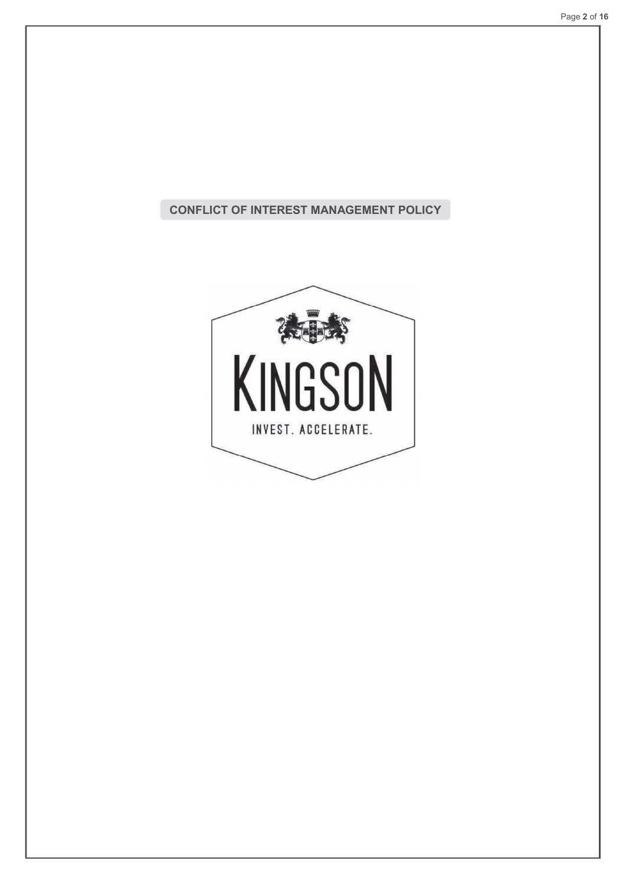# CONFLICT OF INTEREST MANAGEMENT POLICY

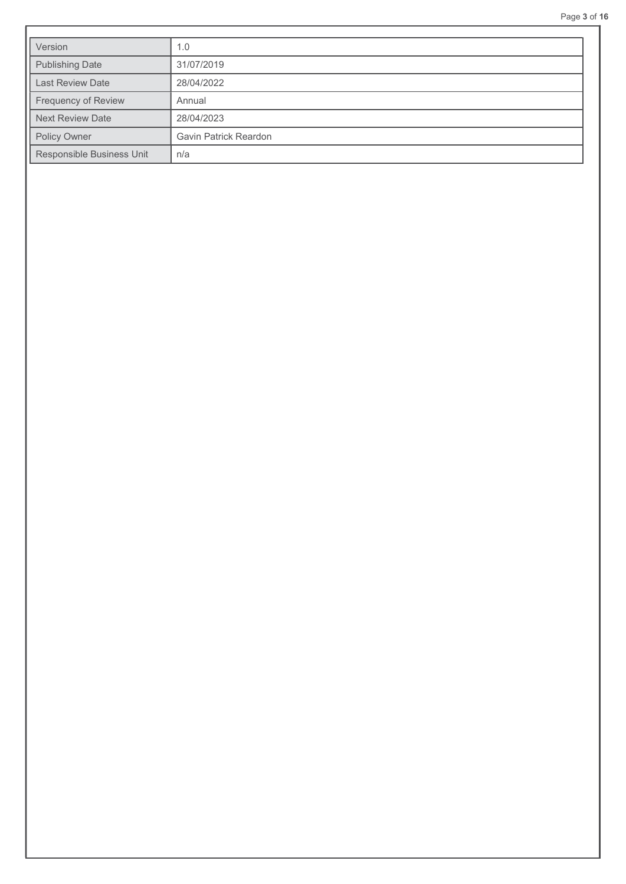|                           |                       | Page 3 |
|---------------------------|-----------------------|--------|
| Version                   | 1.0                   |        |
| Publishing Date           | 31/07/2019            |        |
| Last Review Date          | 28/04/2022            |        |
| Frequency of Review       | Annual                |        |
| <b>Next Review Date</b>   | 28/04/2023            |        |
| Policy Owner              | Gavin Patrick Reardon |        |
| Responsible Business Unit | n/a                   |        |
|                           |                       |        |
|                           |                       |        |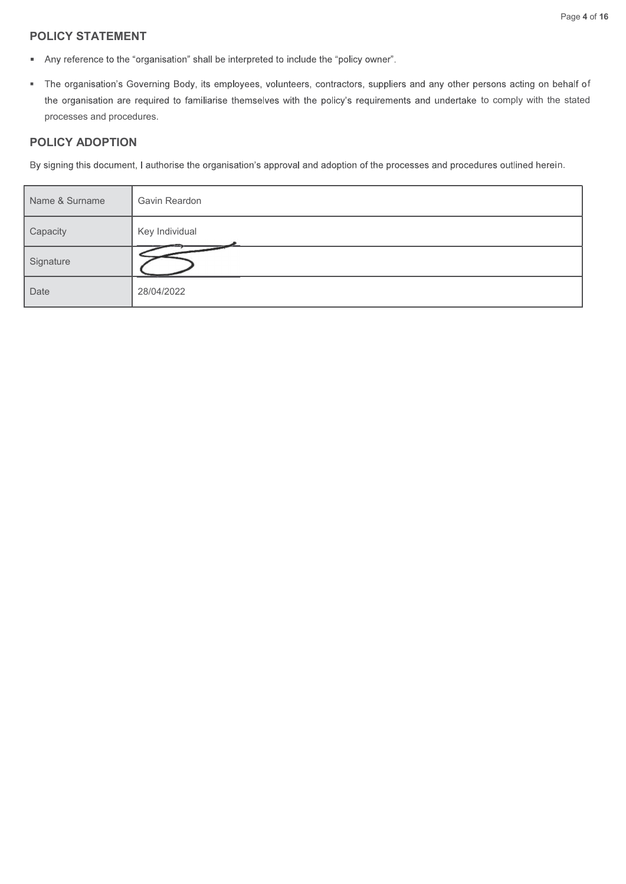# POLICY STATEMENT

- 
- f the organisation are required to familiarise themselves with the policy's requirements and undertake to comply with the stated processes and procedures.

### POLICY ADOPTION

n.

|                                | Page                                                                                                                                                                                                                                                         |
|--------------------------------|--------------------------------------------------------------------------------------------------------------------------------------------------------------------------------------------------------------------------------------------------------------|
| <b>POLICY STATEMENT</b>        |                                                                                                                                                                                                                                                              |
| ٠                              | Any reference to the "organisation" shall be interpreted to include the "policy owner".                                                                                                                                                                      |
| ٠<br>processes and procedures. | The organisation's Governing Body, its employees, volunteers, contractors, suppliers and any other persons acting on behalf<br>the organisation are required to familiarise themselves with the policy's requirements and undertake to comply with the state |
| <b>POLICY ADOPTION</b>         |                                                                                                                                                                                                                                                              |
|                                | By signing this document, I authorise the organisation's approval and adoption of the processes and procedures outlined herein.                                                                                                                              |
| Name & Surname                 | Gavin Reardon                                                                                                                                                                                                                                                |
| Capacity                       | Key Individual                                                                                                                                                                                                                                               |
| Signature                      |                                                                                                                                                                                                                                                              |
| Date                           | 28/04/2022                                                                                                                                                                                                                                                   |
|                                |                                                                                                                                                                                                                                                              |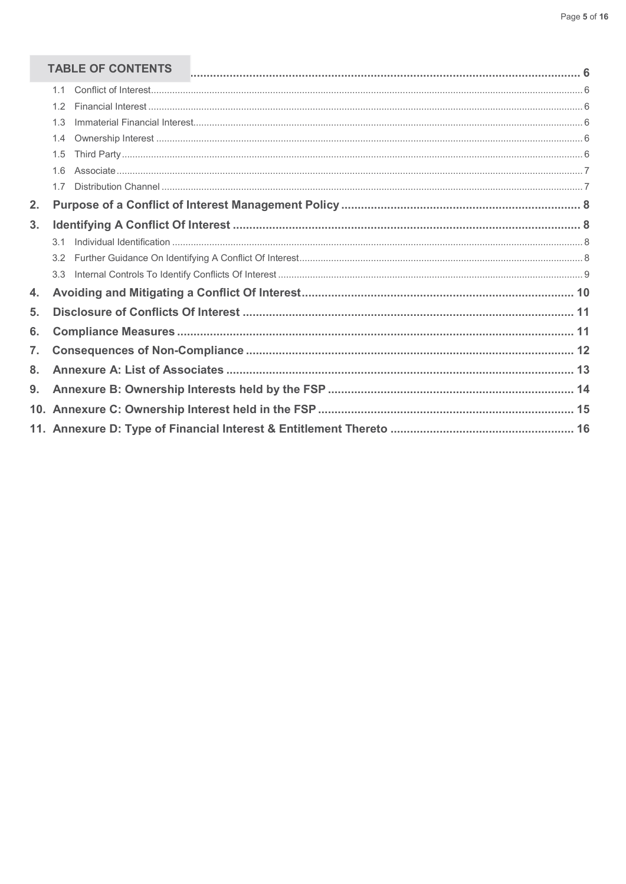# TABLE OF CONTENTS

|    | <b>TABLE OF CONTENTS</b> |  |
|----|--------------------------|--|
|    | 1.1                      |  |
|    | 1.2                      |  |
|    | 1.3                      |  |
|    | 1.4                      |  |
|    | 1.5                      |  |
|    | 1.6                      |  |
|    | 17                       |  |
| 2. |                          |  |
| 3. |                          |  |
|    | 3.1                      |  |
|    |                          |  |
|    | 3.3                      |  |
| 4. |                          |  |
| 5. |                          |  |
| 6. |                          |  |
| 7. |                          |  |
| 8. |                          |  |
| 9. |                          |  |
|    |                          |  |
|    |                          |  |
|    |                          |  |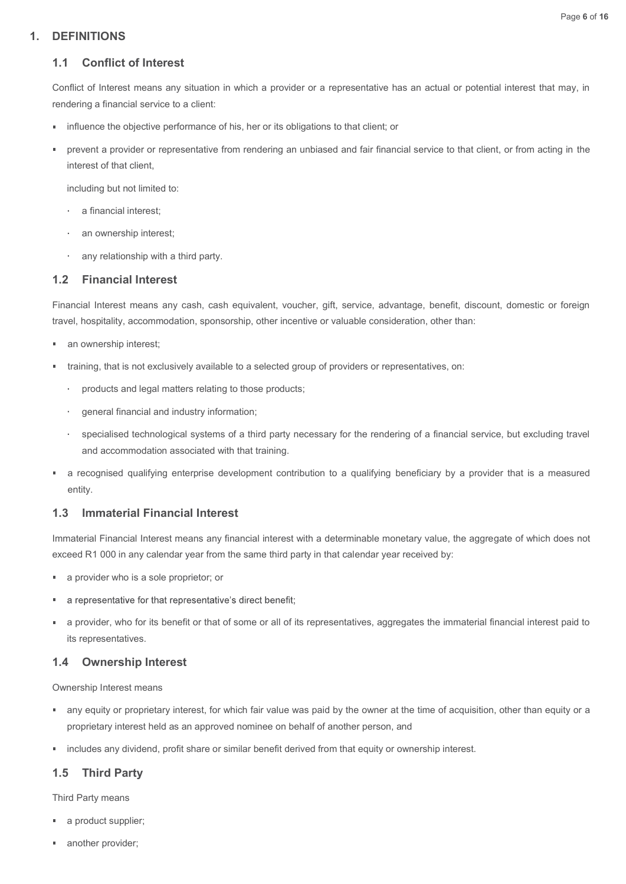#### Page 6 of 16

# 1. DEFINITIONS

# 1.1 Conflict of Interest

Conflict of Interest means any situation in which a provider or a representative has an actual or potential interest that may, in rendering a financial service to a client:

- influence the objective performance of his, her or its obligations to that client; or
- prevent a provider or representative from rendering an unbiased and fair financial service to that client, or from acting in the r. interest of that client,

including but not limited to:

- a financial interest;
- an ownership interest;
- any relationship with a third party.

# 1.2 Financial Interest

Financial Interest means any cash, cash equivalent, voucher, gift, service, advantage, benefit, discount, domestic or foreign travel, hospitality, accommodation, sponsorship, other incentive or valuable consideration, other than:

- an ownership interest;
- training, that is not exclusively available to a selected group of providers or representatives, on:
	- products and legal matters relating to those products;
	- general financial and industry information;
- specialised technological systems of a third party necessary for the rendering of a financial service, but excluding travel uding but not limited to:<br>
an ownership interest;<br>
any relationship with a third party.<br> **Financial Interest**<br>
ilal Interest means any cash, cash equivalent, voucher, gift, service, advantage, be<br>
hospitality, accommodatio
- a recognised qualifying enterprise development contribution to a qualifying beneficiary by a provider that is a measured entity.

#### 1.3 Immaterial Financial Interest

Immaterial Financial Interest means any financial interest with a determinable monetary value, the aggregate of which does not exceed R1 000 in any calendar year from the same third party in that calendar year received by:

- a provider who is a sole proprietor; or
- a representative for that representative's direct benefit;
- a provider, who for its benefit or that of some or all of its representatives, aggregates the immaterial financial interest paid to its representatives.

#### 1.4 Ownership Interest

Ownership Interest means

- any equity or proprietary interest, for which fair value was paid by the owner at the time of acquisition, other than equity or a proprietary interest held as an approved nominee on behalf of another person, and
- **·** includes any dividend, profit share or similar benefit derived from that equity or ownership interest.

# 1.5 Third Party

Third Party means

- a product supplier;
- another provider;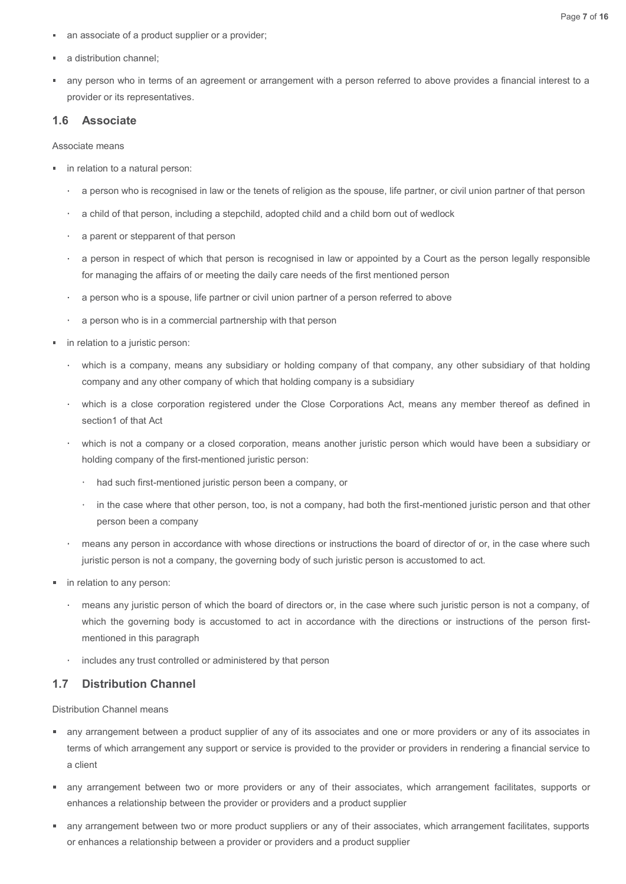- an associate of a product supplier or a provider;
- a distribution channel;
- any person who in terms of an agreement or arrangement with a person referred to above provides a financial interest to a provider or its representatives. <table>\n<tbody>\n<tr>\n<td>■</td>\n<td>an associate of a product supplier or a provider;</td>\n</tr>\n<tr>\n<td>■</td>\n<td>a distribution channel;</td>\n</tr>\n<tr>\n<td>■</td>\n<td>any person who in terms of an agreement or arrangement with a person referred to above provider or its representatives.</td>\n</tr>\n<tr>\n<td>1.6</td>\n<td>Associate</td>\n</tr>\n<tr>\n<td>4.6</td>\n<td>Associate means</td>\n</tr>\n<tr>\n<td>■</td>\n<td>in relation to a natural person:</td>\n</tr>\n<tr>\n<td>■</td>\n<td>a period of that person including a strongly divided child and a child born out of well.</td>\n</tr>\n</tbody>\n</table> Page 7 of 16<br>and still bution channel;<br>that distribution channel;<br>that distribution channel;<br>that distribution channel;<br>a person who in terms of an agreement or arrangement with a person referred to above provides a financ Page 7 of 16<br>stribution channel;<br>reston who in terms of an agreement or arrangement with a person referred to above provides a financial interest to a<br>vider or its representatives.<br>**Associate**<br>date means<br>alstion to a natur

### 1.6 Associate

- in relation to a natural person:
	- a person who is recognised in law or the tenets of religion as the spouse, life partner, or civil union partner of that person
	- a child of that person, including a stepchild, adopted child and a child born out of wedlock
	- a parent or stepparent of that person
	-
	- a person who is a spouse, life partner or civil union partner of a person referred to above
	- a person who is in a commercial partnership with that person
- in relation to a juristic person:
	- which is a company, means any subsidiary or holding company of that company, any other subsidiary of that holding company and any other company of which that holding company is a subsidiary
- ociate means<br>a person who is recognised in law or the tenets of religion as the spouse, life partner, or civil union partner of that person<br>a child of that person, including a stepchild, adopted child and a child born out section1 of that Act
	- which is not a company or a closed corporation, means another juristic person which would have been a subsidiary or holding company of the first-mentioned juristic person:
		- had such first-mentioned juristic person been a company, or
		- in the case where that other person, too, is not a company, had both the first-mentioned juristic person and that other person been a company
	- means any person in accordance with whose directions or instructions the board of director of or, in the case where such juristic person is not a company, the governing body of such juristic person is accustomed to act.
- **in relation to any person:** 
	- means any juristic person of which the board of directors or, in the case where such juristic person is not a company, of which the governing body is accustomed to act in accordance with the directions or instructions of the person firstmentioned in this paragraph
	- includes any trust controlled or administered by that person

# 1.7 Distribution Channel

Distribution Channel means

- any arrangement between a product supplier of any of its associates and one or more providers or any of its associates in terms of which arrangement any support or service is provided to the provider or providers in rendering a financial service to a client
- any arrangement between two or more providers or any of their associates, which arrangement facilitates, supports or enhances a relationship between the provider or providers and a product supplier
- any arrangement between two or more product suppliers or any of their associates, which arrangement facilitates, supports or enhances a relationship between a provider or providers and a product supplier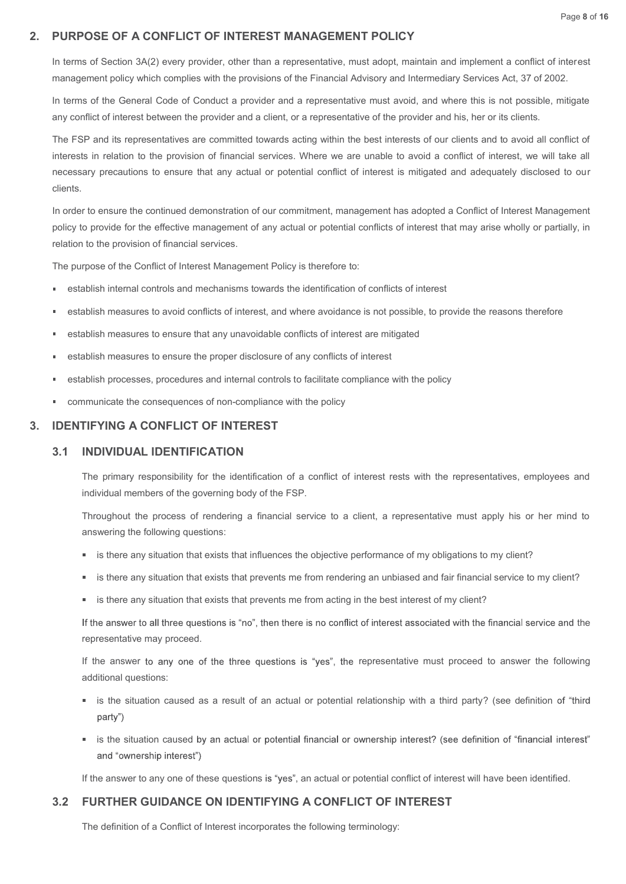## 2. PURPOSE OF A CONFLICT OF INTEREST MANAGEMENT POLICY

In terms of Section 3A(2) every provider, other than a representative, must adopt, maintain and implement a conflict of interest management policy which complies with the provisions of the Financial Advisory and Intermediary Services Act, 37 of 2002.

In terms of the General Code of Conduct a provider and a representative must avoid, and where this is not possible, mitigate any conflict of interest between the provider and a client, or a representative of the provider and his, her or its clients.

The FSP and its representatives are committed towards acting within the best interests of our clients and to avoid all conflict of interests in relation to the provision of financial services. Where we are unable to avoid a conflict of interest, we will take all necessary precautions to ensure that any actual or potential conflict of interest is mitigated and adequately disclosed to our clients. The FSP and its representatives are committed towards acting within the best interests of our clients and to avoid all correctes in relation to the provision of financial services. Where we are unable to avoid a conflict o

In order to ensure the continued demonstration of our commitment, management has adopted a Conflict of Interest Management policy to provide for the effective management of any actual or potential conflicts of interest that may arise wholly or partially, in relation to the provision of financial services.

The purpose of the Conflict of Interest Management Policy is therefore to:

- establish internal controls and mechanisms towards the identification of conflicts of interest
- establish measures to avoid conflicts of interest, and where avoidance is not possible, to provide the reasons therefore
- establish measures to ensure that any unavoidable conflicts of interest are mitigated ×
- establish measures to ensure the proper disclosure of any conflicts of interest
- establish processes, procedures and internal controls to facilitate compliance with the policy
- 

#### 3. IDENTIFYING A CONFLICT OF INTEREST

#### 3.1 INDIVIDUAL IDENTIFICATION

The primary responsibility for the identification of a conflict of interest rests with the representatives, employees and individual members of the governing body of the FSP.

Throughout the process of rendering a financial service to a client, a representative must apply his or her mind to answering the following questions:

- is there any situation that exists that influences the objective performance of my obligations to my client?
- is there any situation that exists that prevents me from rendering an unbiased and fair financial service to my client?
- is there any situation that exists that prevents me from acting in the best interest of my client?

If the answer to all three questions is "no", then there is no conflict of interest associated with the financial service and the representative may proceed.

If the answer to any one of the three questions is "yes", the representative must proceed to answer the following additional questions:

- is the situation caused as a result of an actual or potential relationship with a third party? (see definition of "third ■ is there any situation that exists that influences the objective performance of my obligations to my<br>
■ is there any situation that exists that prevents me from rendering an unbiased and fair financial se<br>
■ is there an
- is the situation caused by an actual or potential financial or ownership interest? (see definition of "financial interest"

If the answer to any one of these questions is "yes", an actual or potential conflict of interest will have been identified.

#### 3.2 FURTHER GUIDANCE ON IDENTIFYING A CONFLICT OF INTEREST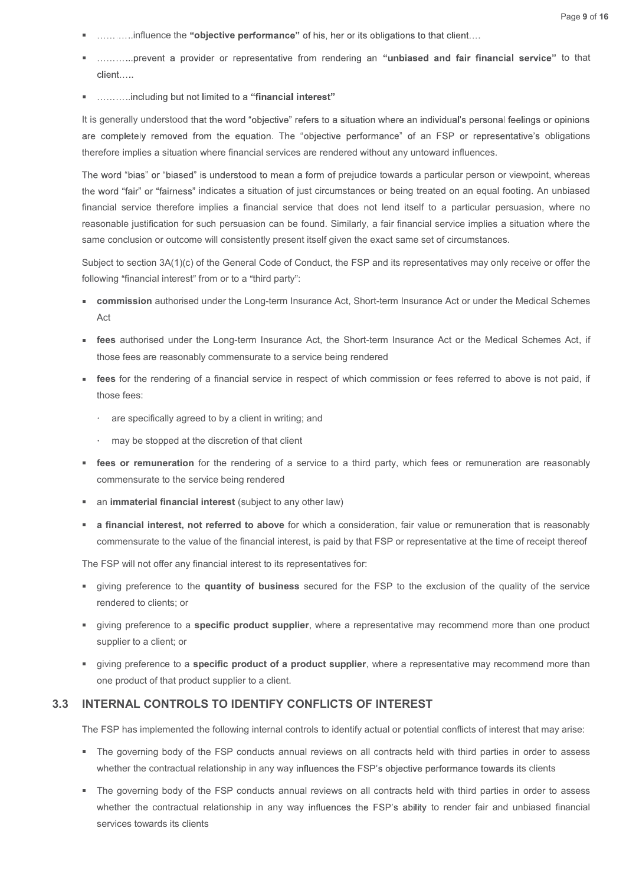- ..............influence the "objective performance" of his, her or its obligations to that client....
- ..............prevent a provider or representative from rendering an "unbiased and fair financial service" to that
- 

It is generally understood that the word "objective" refers to a situation where an individual's personal feelings or opinions are completely removed from the equation. The "objective performance" of an FSP or representative's obligations therefore implies a situation where financial services are rendered without any untoward influences.

The word "bias" or "biased" is understood to mean a form of prejudice towards a particular person or viewpoint, whereas the word "fair" or "fairness" indicates a situation of just circumstances or being treated on an equal footing. An unbiased financial service therefore implies a financial service that does not lend itself to a particular persuasion, where no reasonable justification for such persuasion can be found. Similarly, a fair financial service implies a situation where the same conclusion or outcome will consistently present itself given the exact same set of circumstances. client.....<br>
summinduding but not limited to a "financial interest"<br>
generally understood that the word "objective" refers to a situation where an individual's personal feelings or opinions<br>
completely removed from the equ

Subject to section  $3A(1)(c)$  of the General Code of Conduct, the FSP and its representatives may only receive or offer the following "financial interest" from or to a "third party":

- **Commission** authorised under the Long-term Insurance Act, Short-term Insurance Act or under the Medical Schemes Act
- those fees are reasonably commensurate to a service being rendered
- **fees** for the rendering of a financial service in respect of which commission or fees referred to above is not paid, if those fees:
	- are specifically agreed to by a client in writing; and
	- may be stopped at the discretion of that client
- **fees or remuneration** for the rendering of a service to a third party, which fees or remuneration are reasonably commensurate to the service being rendered
- an immaterial financial interest (subject to any other law)
- a financial interest, not referred to above for which a consideration, fair value or remuneration that is reasonably commensurate to the value of the financial interest, is paid by that FSP or representative at the time of receipt thereof

The FSP will not offer any financial interest to its representatives for:

- qiving preference to the quantity of business secured for the FSP to the exclusion of the quality of the service rendered to clients; or
- giving preference to a specific product supplier, where a representative may recommend more than one product supplier to a client; or
- giving preference to a specific product of a product supplier, where a representative may recommend more than one product of that product supplier to a client.

#### 3.3 INTERNAL CONTROLS TO IDENTIFY CONFLICTS OF INTEREST

The FSP has implemented the following internal controls to identify actual or potential conflicts of interest that may arise:

- The governing body of the FSP conducts annual reviews on all contracts held with third parties in order to assess whether the contractual relationship in any way influences the FSP's objective performance towards its clients
- " The governing body of the FSP conducts annual reviews on all contracts held with third parties in order to assess whether the contractual relationship in any way influences the FSP's ability to render fair and unbiased financial services towards its clients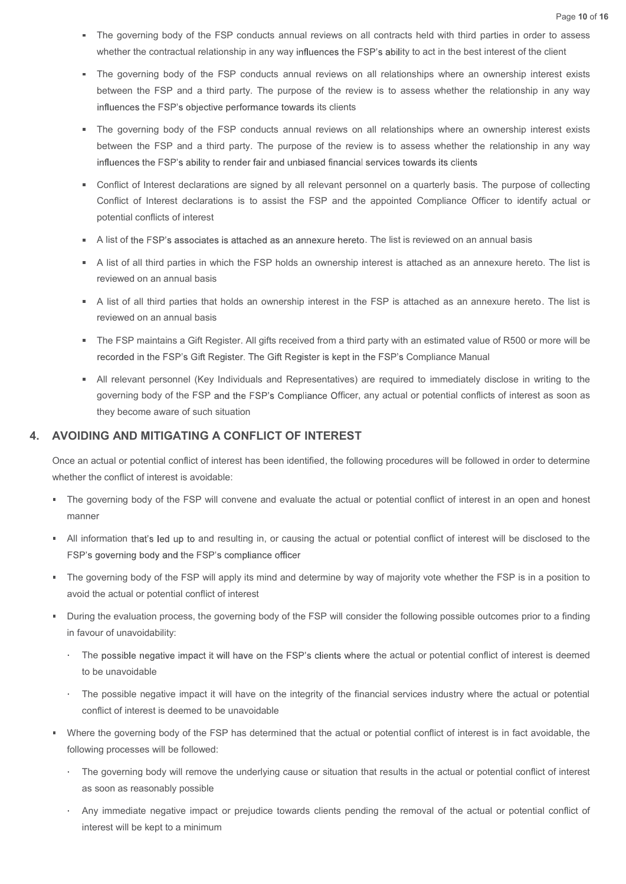- The governing body of the FSP conducts annual reviews on all contracts held with third parties in order to assess whether the contractual relationship in any way influences the FSP's ability to act in the best interest of the client
- Page 10 of 16<br>The governing body of the FSP conducts annual reviews on all contracts held with third parties in order to assess<br>whether the contractual relationship in any way influences the FSP's ability to act in the bes between the FSP and a third party. The purpose of the review is to assess whether the relationship in any way influences the FSP's objective performance towards its clients
- The governing body of the FSP conducts annual reviews on all relationships where an ownership interest exists between the FSP and a third party. The purpose of the review is to assess whether the relationship in any way influences the FSP's objective performance towards its clients<br>The governing body of the FSP conducts annual reviews on all relationships where an ownership interest exists<br>The governing body of the FSP and a third party,
- Conflict of Interest declarations are signed by all relevant personnel on a quarterly basis. The purpose of collecting Conflict of Interest declarations is to assist the FSP and the appointed Compliance Officer to identify actual or potential conflicts of interest
- A list of the FSP's associates is attached as an annexure hereto. The list is reviewed on an annual basis
- A list of all third parties in which the FSP holds an ownership interest is attached as an annexure hereto. The list is reviewed on an annual basis
- A list of all third parties that holds an ownership interest in the FSP is attached as an annexure hereto. The list is reviewed on an annual basis
- The FSP maintains a Gift Register. All gifts received from a third party with an estimated value of R500 or more will be recorded in the FSP's Gift Register. The Gift Register is kept in the FSP's Compliance Manual
- governing body of the FSP and the FSP's Compliance Officer, any actual or potential conflicts of interest as soon as they become aware of such situation All is the manual basis<br>
A list of all third parties that holds an ownership interest in the FSP is attached as an annexure hereto. The list is<br>
A list of all third parties that holds an ownership interest in the FSP is at The Formation of the FSP's complement of the FSP's complement of the evaluation and the evaluation and the evaluation of the evaluation of the evaluation of the FSP s Complement (Key Individuals and Representatives) are re

#### 4. AVOIDING AND MITIGATING A CONFLICT OF INTEREST

Once an actual or potential conflict of interest has been identified, the following procedures will be followed in order to determine whether the conflict of interest is avoidable:

- The governing body of the FSP will convene and evaluate the actual or potential conflict of interest in an open and honest manner
- 
- The governing body of the FSP will apply its mind and determine by way of majority vote whether the FSP is in a position to avoid the actual or potential conflict of interest
- in favour of unavoidability:
	- The possible negative impact it will have on the FSP's clients where the actual or potential conflict of interest is deemed to be unavoidable
	- The possible negative impact it will have on the integrity of the financial services industry where the actual or potential conflict of interest is deemed to be unavoidable
- Where the governing body of the FSP has determined that the actual or potential conflict of interest is in fact avoidable, the following processes will be followed:
	- The governing body will remove the underlying cause or situation that results in the actual or potential conflict of interest as soon as reasonably possible
	- Any immediate negative impact or prejudice towards clients pending the removal of the actual or potential conflict of interest will be kept to a minimum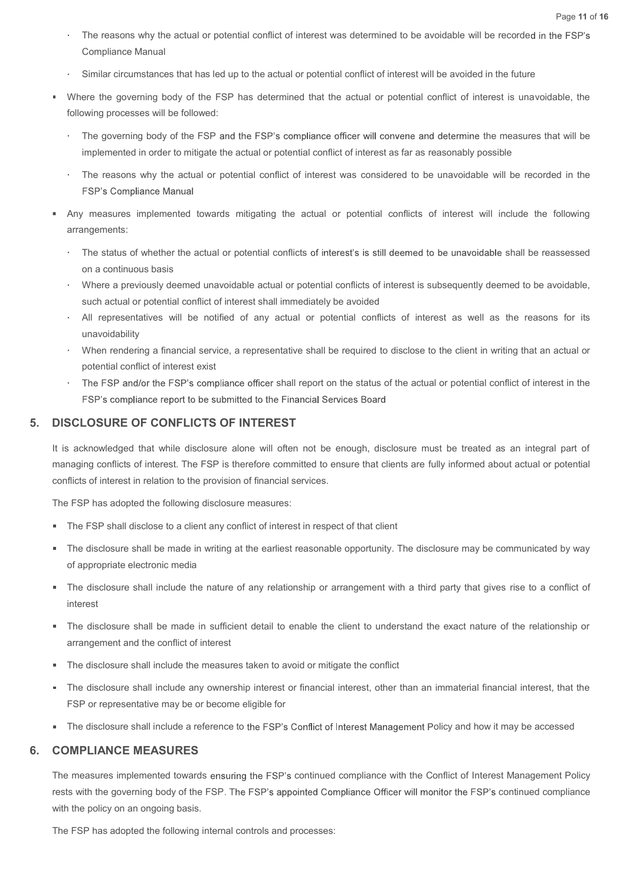- The reasons why the actual or potential conflict of interest was determined to be avoidable will be recorded in the FSP's Compliance Manual
- Similar circumstances that has led up to the actual or potential conflict of interest will be avoided in the future
- Where the governing body of the FSP has determined that the actual or potential conflict of interest is unavoidable, the following processes will be followed:
	- The governing body of the FSP and the FSP's compliance officer will convene and determine the measures that will be implemented in order to mitigate the actual or potential conflict of interest as far as reasonably possible
	- The reasons why the actual or potential conflict of interest was considered to be unavoidable will be recorded in the
- Any measures implemented towards mitigating the actual or potential conflicts of interest will include the following arrangements:
- The status of whether the actual or potential conflicts of interest's is still deemed to be unavoidable shall be reassessed on a continuous basis United to the FSP in the FSP in the FSP and the FSP is compliance of the reduct of interests will be of the rest in a spoording pockets.<br>The governing body of the FSP and the FSP's compliance officer will converte and dete
	- Where a previously deemed unavoidable actual or potential conflicts of interest is subsequently deemed to be avoidable, such actual or potential conflict of interest shall immediately be avoided
	- All representatives will be notified of any actual or potential conflicts of interest as well as the reasons for its unavoidability
	- potential conflict of interest exist
	- The FSP and/or the FSP's compliance officer shall report on the status of the actual or potential conflict of interest in the

#### 5. DISCLOSURE OF CONFLICTS OF INTEREST

It is acknowledged that while disclosure alone will often not be enough, disclosure must be treated as an integral part of managing conflicts of interest. The FSP is therefore committed to ensure that clients are fully informed about actual or potential conflicts of interest in relation to the provision of financial services. arrangements:<br>
The status of whether the actual or potential conflicts of interest's is still deeme<br>
on a continuous basis<br>
Where a previously deemed unavoidable actual or potential conflicts of interest<br>
such actual or po

- **The FSP shall disclose to a client any conflict of interest in respect of that client**
- The disclosure shall be made in writing at the earliest reasonable opportunity. The disclosure may be communicated by way of appropriate electronic media
- The disclosure shall include the nature of any relationship or arrangement with a third party that gives rise to a conflict of interest
- The disclosure shall be made in sufficient detail to enable the client to understand the exact nature of the relationship or arrangement and the conflict of interest
- The disclosure shall include the measures taken to avoid or mitigate the conflict
- The disclosure shall include any ownership interest or financial interest, other than an immaterial financial interest, that the FSP or representative may be or become eligible for
- " The disclosure shall include a reference to the FSP's Conflict of Interest Management Policy and how it may be accessed

#### 6. COMPLIANCE MEASURES

The measures implemented towards ensuring the FSP's continued compliance with the Conflict of Interest Management Policy rests with the governing body of the FSP. The FSP's appointed Compliance Officer will monitor the FSP's continued compliance with the policy on an ongoing basis.

The FSP has adopted the following internal controls and processes: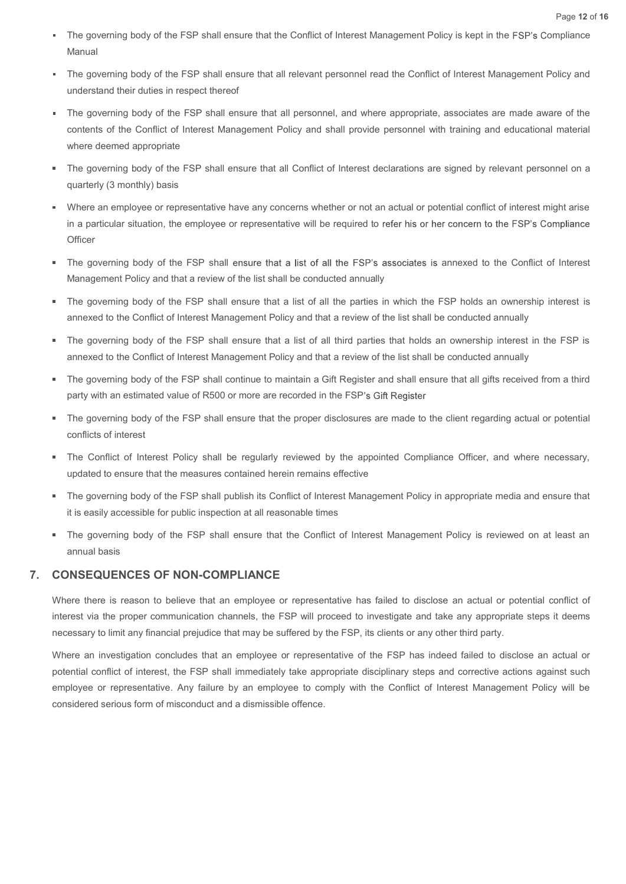- The governing body of the FSP shall ensure that the Conflict of Interest Management Policy is kept in the FSP's Compliance Manual
- The governing body of the FSP shall ensure that all relevant personnel read the Conflict of Interest Management Policy and understand their duties in respect thereof
- The governing body of the FSP shall ensure that all personnel, and where appropriate, associates are made aware of the contents of the Conflict of Interest Management Policy and shall provide personnel with training and educational material where deemed appropriate The governing body of the FSP shall ensure that the Conflict of Interest Management Policy is kept in the Manual<br>The governing body of the FSP shall ensure that all relevant personnel read the Conflict of Interest Manageme
- The governing body of the FSP shall ensure that all Conflict of Interest declarations are signed by relevant personnel on a quarterly (3 monthly) basis
- Where an employee or representative have any concerns whether or not an actual or potential conflict of interest might arise in a particular situation, the employee or representative will be required to refer his or her concern to the FSP's Compliance **Officer**
- The governing body of the FSP shall ensure that a list of all the FSP's associates is annexed to the Conflict of Interest
- The governing body of the FSP shall ensure that a list of all the parties in which the FSP holds an ownership interest is annexed to the Conflict of Interest Management Policy and that a review of the list shall be conducted annually
- The governing body of the FSP shall ensure that a list of all third parties that holds an ownership interest in the FSP is annexed to the Conflict of Interest Management Policy and that a review of the list shall be conducted annually
- The governing body of the FSP shall continue to maintain a Gift Register and shall ensure that all gifts received from a third party with an estimated value of R500 or more are recorded in the FSP's Gift Register
- The governing body of the FSP shall ensure that the proper disclosures are made to the client regarding actual or potential  $\blacksquare$ conflicts of interest
- The Conflict of Interest Policy shall be regularly reviewed by the appointed Compliance Officer, and where necessary, updated to ensure that the measures contained herein remains effective
- The governing body of the FSP shall publish its Conflict of Interest Management Policy in appropriate media and ensure that it is easily accessible for public inspection at all reasonable times
- " The governing body of the FSP shall ensure that the Conflict of Interest Management Policy is reviewed on at least an annual basis

#### 7. CONSEQUENCES OF NON-COMPLIANCE

Where there is reason to believe that an employee or representative has failed to disclose an actual or potential conflict of interest via the proper communication channels, the FSP will proceed to investigate and take any appropriate steps it deems necessary to limit any financial prejudice that may be suffered by the FSP, its clients or any other third party.

Where an investigation concludes that an employee or representative of the FSP has indeed failed to disclose an actual or potential conflict of interest, the FSP shall immediately take appropriate disciplinary steps and corrective actions against such employee or representative. Any failure by an employee to comply with the Conflict of Interest Management Policy will be considered serious form of misconduct and a dismissible offence.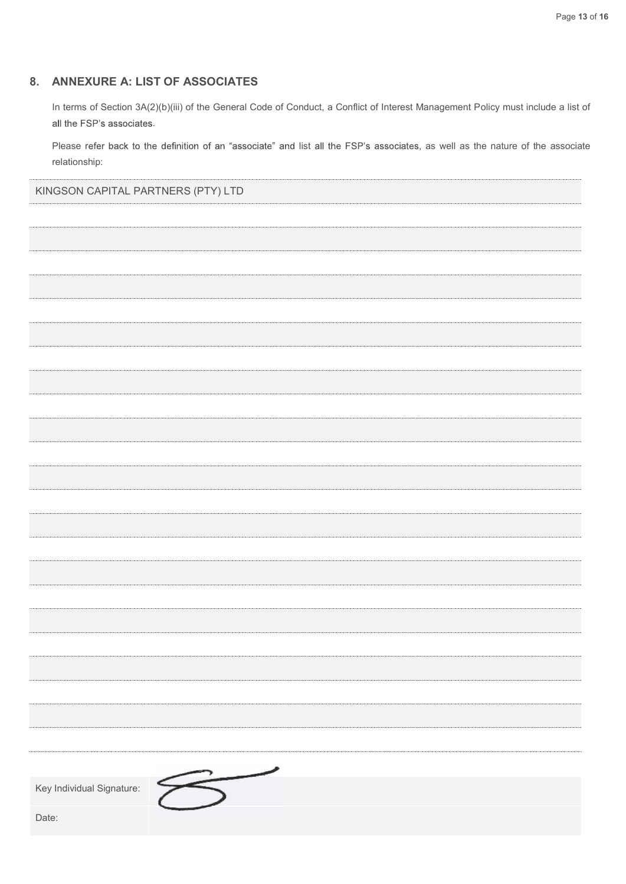# 8. ANNEXURE A: LIST OF ASSOCIATES

In terms of Section 3A(2)(b)(iii) of the General Code of Conduct, a Conflict of Interest Management Policy must include a list of all the FSP's associates.<br>Please refer back to the definition of an "associate" and list all the FSP's associates, as well as the nature of the associate

relationship:

KINGSON CAPITAL PARTNERS (PTY) LTD

| Key Individual Signature: |  |  |
|---------------------------|--|--|
|                           |  |  |
| Date:                     |  |  |
|                           |  |  |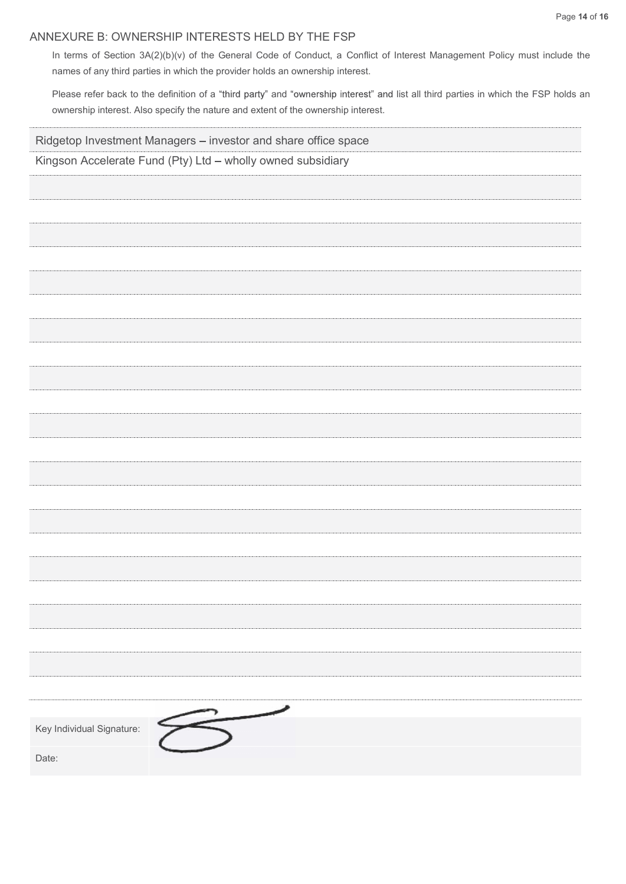# ANNEXURE B: OWNERSHIP INTERESTS HELD BY THE FSP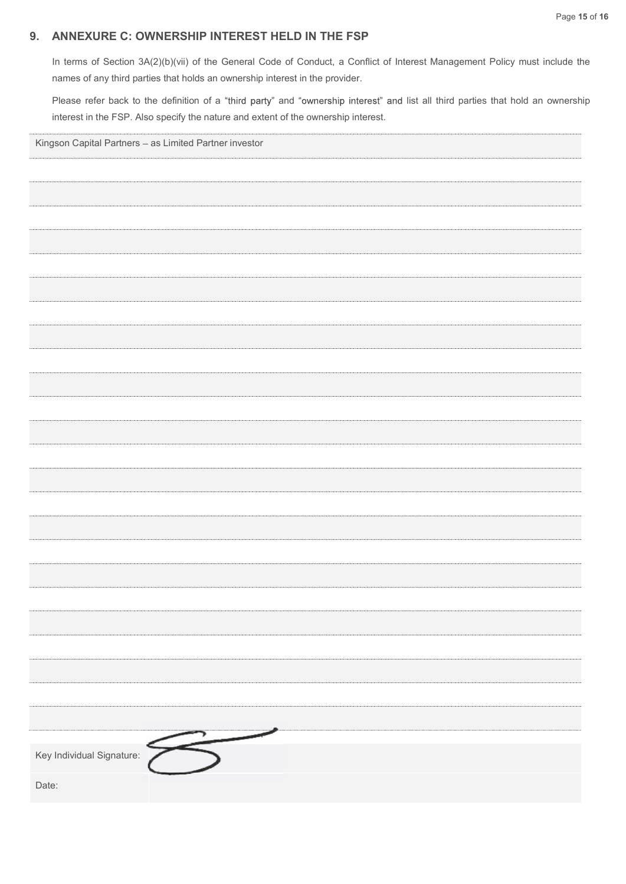# 9. ANNEXURE C: OWNERSHIP INTEREST HELD IN THE FSP

In terms of Section 3A(2)(b)(vii) of the General Code of Conduct, a Conflict of Interest Management Policy must include the names of any third parties that holds an ownership interest in the provider.

Please refer back to the definition of a "third party" and "ownership interest" and list all third parties that hold an ownership interest in the FSP. Also specify the nature and extent of the ownership interest.

| Kingson Capital Partners - as Limited Partner investor |
|--------------------------------------------------------|
|                                                        |
|                                                        |
|                                                        |
|                                                        |
|                                                        |
|                                                        |
|                                                        |
|                                                        |
|                                                        |
|                                                        |
|                                                        |
|                                                        |
|                                                        |
|                                                        |
|                                                        |
|                                                        |
|                                                        |
|                                                        |
|                                                        |
|                                                        |
|                                                        |
|                                                        |
| Key Individual Signature:                              |
| Date:                                                  |